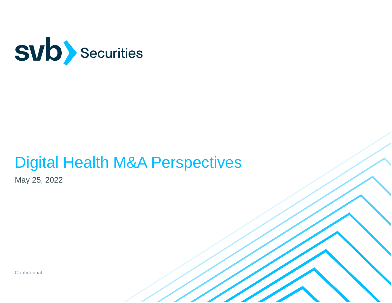

# Digital Health M&A Perspectives

May 25, 2022

**Confidential**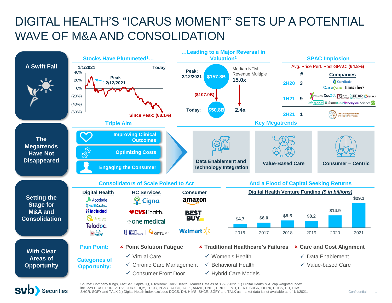### DIGITAL HEALTH'S "ICARUS MOMENT" SETS UP A POTENTIAL WAVE OF M&A AND CONSOLIDATION





Source: Company filings, FactSet, Capital IQ, PitchBook, Rock Health | Market Data as of 05/23/2022. 1.) Digital Health Mkt. cap weighted index<br>includes HCAT, PHR, VEEV, GDRX, HQY, TDOC, PGNY, ACCD, TALK, AMWL, BNFT, DRIO, SHCR, SGFY and TALK 2.) Digital Health index excludes DOCS, DH, HIMS, SHCR, SGFY and TALK as market data is not available as of 1/1/2021.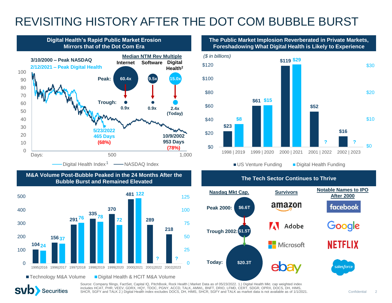### REVISITING HISTORY AFTER THE DOT COM BUBBLE BURST



**The Tech Sector Continues to Thrive M&A Volume Post-Bubble Peaked in the 24 Months After the Bubble Burst and Remained Elevated**



**SVD** Securities

**The Public Market Implosion Reverberated in Private Markets, Foreshadowing What Digital Health is Likely to Experience**



US Venture Funding Digital Health Funding



Source: Company filings, FactSet, Capital IQ, PitchBook, Rock Health | Market Data as of 05/23/2022. 1.) Digital Health Mkt. cap weighted index<br>includes HCAT, PHR, VEEV, GDRX, HQY, TDOC, PGNY, ACCD, TALK, AMWL, BNFT, DRIO, SHCR, SGFY and TALK 2.) Digital Health index excludes DOCS, DH, HIMS, SHCR, SGFY and TALK as market data is not available as of 1/1/2021.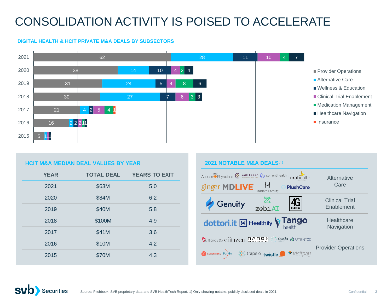## CONSOLIDATION ACTIVITY IS POISED TO ACCELERATE

#### **DIGITAL HEALTH & HCIT PRIVATE M&A DEALS BY SUBSECTORS**



#### **HCIT M&A MEDIAN DEAL VALUES BY YEAR**

| <b>YEAR</b> | <b>TOTAL DEAL</b> | <b>YEARS TO EXIT</b> |
|-------------|-------------------|----------------------|
| 2021        | \$63M             | 5.0                  |
| 2020        | \$84M             | 6.2                  |
| 2019        | \$40M             | 5.8                  |
| 2018        | \$100M            | 4.9                  |
| 2017        | \$41M             | 3.6                  |
| 2016        | \$10M             | 4.2                  |
| 2015        | \$70M             | 4.3                  |
|             |                   |                      |